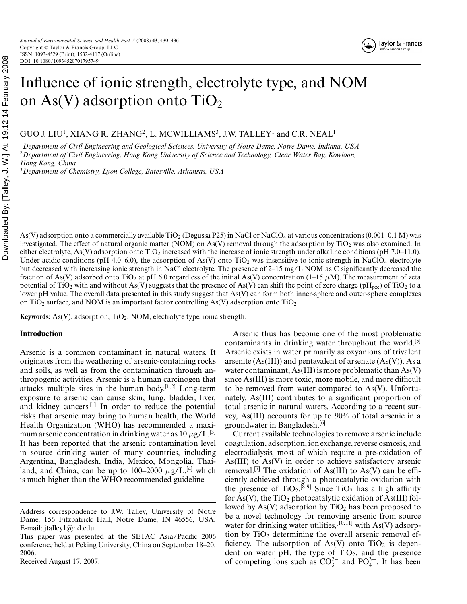GUO J. LIU<sup>1</sup>, XIANG R. ZHANG<sup>2</sup>, L. MCWILLIAMS<sup>3</sup>, J.W. TALLEY<sup>1</sup> and C.R. NEAL<sup>1</sup>

<sup>1</sup>*Department of Civil Engineering and Geological Sciences, University of Notre Dame, Notre Dame, Indiana, USA* <sup>2</sup>*Department of Civil Engineering, Hong Kong University of Science and Technology, Clear Water Bay, Kowloon, Hong Kong, China*

<sup>3</sup>*Department of Chemistry, Lyon College, Batesville, Arkansas, USA*

As(V) adsorption onto a commercially available TiO<sub>2</sub> (Degussa P25) in NaCl or NaClO<sub>4</sub> at various concentrations (0.001–0.1 M) was investigated. The effect of natural organic matter (NOM) on As(V) removal through the adsorption by  $TiO<sub>2</sub>$  was also examined. In either electrolyte, As(V) adsorption onto TiO<sub>2</sub> increased with the increase of ionic strength under alkaline conditions (pH 7.0–11.0). Under acidic conditions (pH 4.0–6.0), the adsorption of As(V) onto TiO<sub>2</sub> was insensitive to ionic strength in NaClO<sub>4</sub> electrolyte but decreased with increasing ionic strength in NaCl electrolyte. The presence of 2–15 mg/L NOM as C significantly decreased the fraction of As(V) adsorbed onto TiO<sub>2</sub> at pH 6.0 regardless of the initial As(V) concentration (1–15  $\mu$ M). The measurement of zeta potential of TiO<sub>2</sub> with and without As(V) suggests that the presence of As(V) can shift the point of zero charge (pH<sub>pzc</sub>) of TiO<sub>2</sub> to a lower pH value. The overall data presented in this study suggest that As(V) can form both inner-sphere and outer-sphere complexes on TiO<sub>2</sub> surface, and NOM is an important factor controlling As(V) adsorption onto TiO<sub>2</sub>.

**Keywords:** As(V), adsorption, TiO<sub>2</sub>, NOM, electrolyte type, ionic strength.

## **Introduction**

Arsenic is a common contaminant in natural waters. It originates from the weathering of arsenic-containing rocks and soils, as well as from the contamination through anthropogenic activities. Arsenic is a human carcinogen that attacks multiple sites in the human body.[1,2] Long-term exposure to arsenic can cause skin, lung, bladder, liver, and kidney cancers.<sup>[1]</sup> In order to reduce the potential risks that arsenic may bring to human health, the World Health Organization (WHO) has recommended a maximum arsenic concentration in drinking water as  $10 \mu g/L$ .<sup>[3]</sup> It has been reported that the arsenic contamination level in source drinking water of many countries, including Argentina, Bangladesh, India, Mexico, Mongolia, Thailand, and China, can be up to 100–2000  $\mu$ g/L,<sup>[4]</sup> which is much higher than the WHO recommended guideline.

Arsenic thus has become one of the most problematic contaminants in drinking water throughout the world.<sup>[5]</sup> Arsenic exists in water primarily as oxyanions of trivalent arsenite  $(As(III))$  and pentavalent of arsenate  $(As(V))$ . As a water contaminant, As(III) is more problematic than As(V) since As(III) is more toxic, more mobile, and more difficult to be removed from water compared to As(V). Unfortunately, As(III) contributes to a significant proportion of total arsenic in natural waters. According to a recent survey, As(III) accounts for up to 90% of total arsenic in a groundwater in Bangladesh.[6]

Current available technologies to remove arsenic include coagulation, adsorption, ion exchange, reverse osmosis, and electrodialysis, most of which require a pre-oxidation of As(III) to As(V) in order to achieve satisfactory arsenic removal.<sup>[7]</sup> The oxidation of As(III) to As(V) can be efficiently achieved through a photocatalytic oxidation with the presence of  $TiO<sub>2</sub>$ .<sup>[8,9]</sup> Since  $TiO<sub>2</sub>$  has a high affinity for As(V), the  $TiO<sub>2</sub>$  photocatalytic oxidation of As(III) followed by As(V) adsorption by  $TiO<sub>2</sub>$  has been proposed to be a novel technology for removing arsenic from source water for drinking water utilities,  $[10,11]$  with As(V) adsorption by  $TiO<sub>2</sub>$  determining the overall arsenic removal efficiency. The adsorption of As(V) onto  $TiO<sub>2</sub>$  is dependent on water pH, the type of  $TiO<sub>2</sub>$ , and the presence of competing ions such as  $CO_3^{2-}$  and  $PO_4^{3-}$ . It has been

Address correspondence to J.W. Talley, University of Notre Dame, 156 Fitzpatrick Hall, Notre Dame, IN 46556, USA; E-mail: jtalley1@nd.edu

This paper was presented at the SETAC Asia/Pacific 2006 conference held at Peking University, China on September 18–20, 2006.

Received August 17, 2007.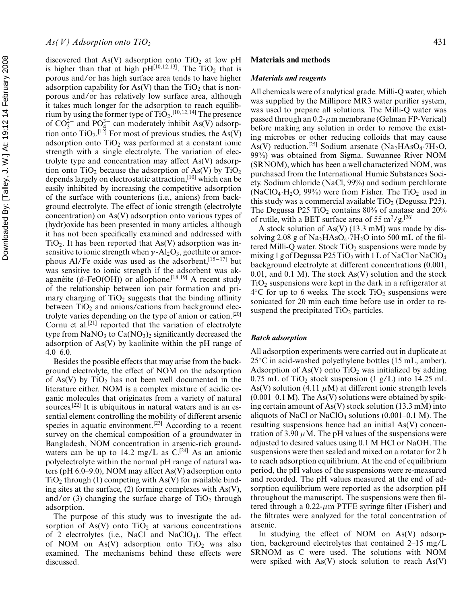discovered that As(V) adsorption onto  $TiO<sub>2</sub>$  at low pH is higher than that at high  $pH[10,12,13]$ . The TiO<sub>2</sub> that is porous and/or has high surface area tends to have higher adsorption capability for As(V) than the  $TiO<sub>2</sub>$  that is nonporous and/or has relatively low surface area, although it takes much longer for the adsorption to reach equilibrium by using the former type of  $\text{TiO}_2$ .<sup>[10,12,14]</sup> The presence of  $CO_3^{2-}$  and  $PO_4^{3-}$  can moderately inhibit As(V) adsorption onto  $\text{TiO}_2$ .<sup>[12]</sup> For most of previous studies, the As(V) adsorption onto  $TiO<sub>2</sub>$  was performed at a constant ionic strength with a single electrolyte. The variation of electrolyte type and concentration may affect As(V) adsorption onto  $TiO<sub>2</sub>$  because the adsorption of As(V) by  $TiO<sub>2</sub>$ depends largely on electrostatic attraction,<sup>[10]</sup> which can be easily inhibited by increasing the competitive adsorption of the surface with counterions (i.e., anions) from background electrolyte. The effect of ionic strength (electrolyte concentration) on As(V) adsorption onto various types of (hydr)oxide has been presented in many articles, although it has not been specifically examined and addressed with  $TiO<sub>2</sub>$ . It has been reported that As(V) adsorption was insensitive to ionic strength when  $\gamma$ -Al<sub>2</sub>O<sub>3</sub>, goethite or amorphous Al/Fe oxide was used as the adsorbent,<sup>[15−17]</sup> but was sensitive to ionic strength if the adsorbent was akaganeite ( $\beta$ -FeO(OH)) or allophone.<sup>[18,19]</sup> A recent study of the relationship between ion pair formation and primary charging of  $TiO<sub>2</sub>$  suggests that the binding affinity between  $TiO<sub>2</sub>$  and anions/cations from background electrolyte varies depending on the type of anion or cation.[20] Cornu et al.<sup>[21]</sup> reported that the variation of electrolyte type from  $NaNO<sub>3</sub>$  to  $Ca(NO<sub>3</sub>)<sub>2</sub>$  significantly decreased the adsorption of As(V) by kaolinite within the pH range of 4.0–6.0.

Besides the possible effects that may arise from the background electrolyte, the effect of NOM on the adsorption of As(V) by TiO<sub>2</sub> has not been well documented in the literature either. NOM is a complex mixture of acidic organic molecules that originates from a variety of natural sources.<sup>[22]</sup> It is ubiquitous in natural waters and is an essential element controlling the mobility of different arsenic species in aquatic environment.[23] According to a recent survey on the chemical composition of a groundwater in Bangladesh, NOM concentration in arsenic-rich groundwaters can be up to 14.2 mg/L as  $C$ <sup>[24]</sup> As an anionic polyelectrolyte within the normal pH range of natural waters (pH 6.0–9.0), NOM may affect As(V) adsorption onto  $TiO<sub>2</sub>$  through (1) competing with As(V) for available binding sites at the surface, (2) forming complexes with As(V), and/or (3) changing the surface charge of  $TiO<sub>2</sub>$  through adsorption.

The purpose of this study was to investigate the adsorption of As(V) onto  $TiO<sub>2</sub>$  at various concentrations of 2 electrolytes (i.e., NaCl and NaClO<sub>4</sub>). The effect of NOM on  $As(V)$  adsorption onto  $TiO<sub>2</sub>$  was also examined. The mechanisms behind these effects were discussed.

### **Materials and methods**

#### *Materials and reagents*

All chemicals were of analytical grade. Milli-Q water, which was supplied by the Millipore MR3 water purifier system, was used to prepare all solutions. The Milli-Q water was passed through an  $0.2$ - $\mu$ m membrane (Gelman FP-Verical) before making any solution in order to remove the existing microbes or other reducing colloids that may cause As(V) reduction.<sup>[25]</sup> Sodium arsenate (Na<sub>2</sub>HAsO<sub>4</sub>.7H<sub>2</sub>O, 99%) was obtained from Sigma. Suwannee River NOM (SRNOM), which has been a well characterized NOM, was purchased from the International Humic Substances Society. Sodium chloride (NaCl, 99%) and sodium perchlorate (NaClO<sub>4</sub>·H<sub>2</sub>O, 99%) were from Fisher. The TiO<sub>2</sub> used in this study was a commercial available  $TiO<sub>2</sub>$  (Degussa P25). The Degussa P25 TiO<sub>2</sub> contains  $80\%$  of anatase and  $20\%$ of rutile, with a BET surface area of 55 m<sup>2</sup>/g.<sup>[26]</sup>

A stock solution of As(V) (13.3 mM) was made by dissolving 2.08 g of  $Na<sub>2</sub>HAsO<sub>4</sub>·7H<sub>2</sub>O$  into 500 mL of the filtered Milli-Q water. Stock  $TiO<sub>2</sub>$  suspensions were made by mixing 1 g of Degussa P25 TiO<sub>2</sub> with 1 L of NaCl or NaClO<sub>4</sub> background electrolyte at different concentrations (0.001, 0.01, and 0.1 M). The stock  $As(V)$  solution and the stock  $TiO<sub>2</sub>$  suspensions were kept in the dark in a refrigerator at  $4^{\circ}$ C for up to 6 weeks. The stock TiO<sub>2</sub> suspensions were sonicated for 20 min each time before use in order to resuspend the precipitated  $TiO<sub>2</sub>$  particles.

### *Batch adsorption*

All adsorption experiments were carried out in duplicate at 25◦C in acid-washed polyethylene bottles (15 mL, amber). Adsorption of As(V) onto TiO<sub>2</sub> was initialized by adding 0.75 mL of TiO<sub>2</sub> stock suspension  $(1 g/L)$  into 14.25 mL As(V) solution (4.11  $\mu$ M) at different ionic strength levels  $(0.001-0.1 \text{ M})$ . The As(V) solutions were obtained by spiking certain amount of As(V) stock solution (13.3 mM) into aliquots of NaCl or NaClO<sub>4</sub> solutions  $(0.001-0.1 \text{ M})$ . The resulting suspensions hence had an initial As(V) concentration of 3.90  $\mu$ M. The pH values of the suspensions were adjusted to desired values using 0.1 M HCl or NaOH. The suspensions were then sealed and mixed on a rotator for 2 h to reach adsorption equilibrium. At the end of equilibrium period, the pH values of the suspensions were re-measured and recorded. The pH values measured at the end of adsorption equilibrium were reported as the adsorption pH throughout the manuscript. The suspensions were then filtered through a  $0.22$ - $\mu$ m PTFE syringe filter (Fisher) and the filtrates were analyzed for the total concentration of arsenic.

In studying the effect of NOM on As(V) adsorption, background electrolytes that contained 2–15 mg/L SRNOM as C were used. The solutions with NOM were spiked with  $As(V)$  stock solution to reach  $As(V)$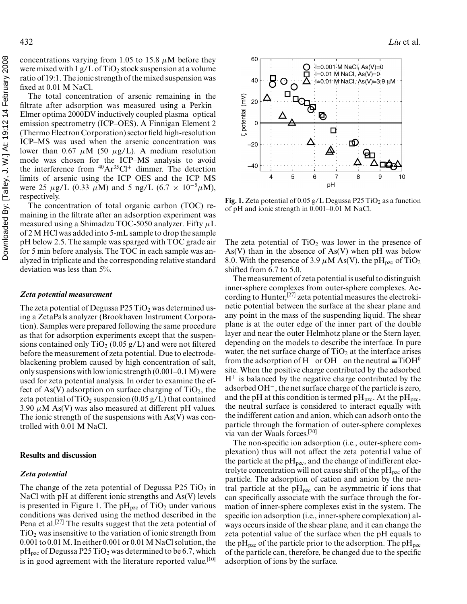concentrations varying from 1.05 to 15.8  $\mu$ M before they were mixed with  $1 g/L$  of TiO<sub>2</sub> stock suspension at a volume ratio of 19:1. The ionic strength of the mixed suspension was fixed at 0.01 M NaCl.

The total concentration of arsenic remaining in the filtrate after adsorption was measured using a Perkin– Elmer optima 2000DV inductively coupled plasma–optical emission spectrometry (ICP–OES). A Finnigan Element 2 (Thermo Electron Corporation) sector field high-resolution ICP–MS was used when the arsenic concentration was lower than 0.67  $\mu$ M (50  $\mu$ g/L). A medium resolution mode was chosen for the ICP–MS analysis to avoid the interference from  $^{40}Ar^{35}Cl^+$  dimmer. The detection limits of arsenic using the ICP–OES and the ICP–MS were 25  $\mu$ g/L (0.33  $\mu$ M) and 5 ng/L (6.7 × 10<sup>-5</sup> $\mu$ M), respectively.

The concentration of total organic carbon (TOC) remaining in the filtrate after an adsorption experiment was measured using a Shimadzu TOC-5050 analyzer. Fifty  $\mu$ L of 2 M HCl was added into 5-mL sample to drop the sample pH below 2.5. The sample was sparged with TOC grade air for 5 min before analysis. The TOC in each sample was analyzed in triplicate and the corresponding relative standard deviation was less than 5%.

## *Zeta potential measurement*

The zeta potential of Degussa  $P25 TiO<sub>2</sub>$  was determined using a ZetaPals analyzer (Brookhaven Instrument Corporation). Samples were prepared following the same procedure as that for adsorption experiments except that the suspensions contained only  $TiO<sub>2</sub>$  (0.05 g/L) and were not filtered before the measurement of zeta potential. Due to electrodeblackening problem caused by high concentration of salt, only suspensions with low ionic strength (0.001–0.1 M) were used for zeta potential analysis. In order to examine the effect of As(V) adsorption on surface charging of  $TiO<sub>2</sub>$ , the zeta potential of TiO<sub>2</sub> suspension (0.05 g/L) that contained 3.90  $\mu$ M As(V) was also measured at different pH values. The ionic strength of the suspensions with As(V) was controlled with 0.01 M NaCl.

#### **Results and discussion**

# *Zeta potential*

The change of the zeta potential of Degussa P25  $TiO<sub>2</sub>$  in NaCl with pH at different ionic strengths and As(V) levels is presented in Figure 1. The  $pH_{pzc}$  of TiO<sub>2</sub> under various conditions was derived using the method described in the Pena et al.<sup>[27]</sup> The results suggest that the zeta potential of  $TiO<sub>2</sub>$  was insensitive to the variation of ionic strength from 0.001 to 0.01 M. In either 0.001 or 0.01 M NaCl solution, the  $pH_{pzc}$  of Degussa P25 TiO<sub>2</sub> was determined to be 6.7, which is in good agreement with the literature reported value.<sup>[10]</sup>



**Fig. 1.** Zeta potential of 0.05 g/L Degussa P25 TiO<sub>2</sub> as a function of pH and ionic strength in 0.001–0.01 M NaCl.

The zeta potential of  $TiO<sub>2</sub>$  was lower in the presence of  $As(V)$  than in the absence of  $As(V)$  when pH was below 8.0. With the presence of 3.9  $\mu$ M As(V), the pH<sub>pzc</sub> of TiO<sub>2</sub> shifted from 6.7 to 5.0.

The measurement of zeta potential is useful to distinguish inner-sphere complexes from outer-sphere complexes. According to Hunter,<sup>[27]</sup> zeta potential measures the electrokinetic potential between the surface at the shear plane and any point in the mass of the suspending liquid. The shear plane is at the outer edge of the inner part of the double layer and near the outer Helmhotz plane or the Stern layer, depending on the models to describe the interface. In pure water, the net surface charge of  $TiO<sub>2</sub>$  at the interface arises from the adsorption of H<sup>+</sup> or OH<sup>-</sup> on the neutral  $\equiv$ TiOH<sup>0</sup> site. When the positive charge contributed by the adsorbed  $H^+$  is balanced by the negative charge contributed by the adsorbed OH−, the net surface charge of the particle is zero, and the pH at this condition is termed pH<sub>pzc</sub>. At the pH<sub>pzc</sub>, the neutral surface is considered to interact equally with the indifferent cation and anion, which can adsorb onto the particle through the formation of outer-sphere complexes via van der Waals forces.[20]

The non-specific ion adsorption (i.e., outer-sphere complexation) thus will not affect the zeta potential value of the particle at the  $pH_{pzc}$ , and the change of indifferent electrolyte concentration will not cause shift of the  $pH_{pzc}$  of the particle. The adsorption of cation and anion by the neutral particle at the  $pH_{pzc}$  can be asymmetric if ions that can specifically associate with the surface through the formation of inner-sphere complexes exist in the system. The specific ion adsorption (i.e., inner-sphere complexation) always occurs inside of the shear plane, and it can change the zeta potential value of the surface when the pH equals to the pH<sub>pzc</sub> of the particle prior to the adsorption. The pH<sub>pzc</sub> of the particle can, therefore, be changed due to the specific adsorption of ions by the surface.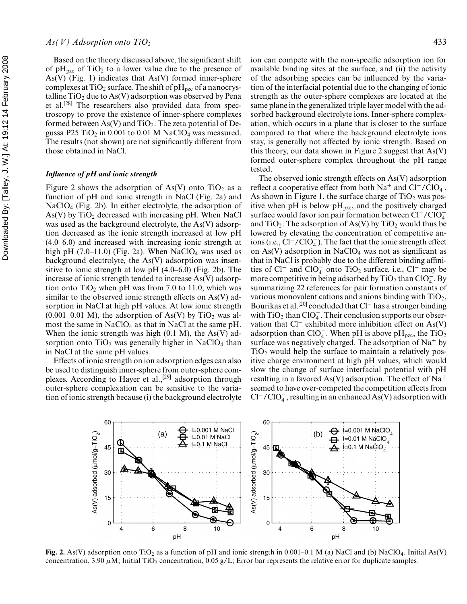# $As(V)$  Adsorption onto  $TiO<sub>2</sub>$  433

Based on the theory discussed above, the significant shift of  $pH_{pzc}$  of TiO<sub>2</sub> to a lower value due to the presence of As(V) (Fig. 1) indicates that  $As(V)$  formed inner-sphere complexes at TiO<sub>2</sub> surface. The shift of  $pH_{pzc}$  of a nanocrystalline  $TiO<sub>2</sub>$  due to As(V) adsorption was observed by Pena et al.[28] The researchers also provided data from spectroscopy to prove the existence of inner-sphere complexes formed between As(V) and TiO<sub>2</sub>. The zeta potential of Degussa P25 TiO<sub>2</sub> in 0.001 to 0.01 M NaClO<sub>4</sub> was measured. The results (not shown) are not significantly different from those obtained in NaCl.

## *Influence of pH and ionic strength*

Figure 2 shows the adsorption of As(V) onto  $TiO<sub>2</sub>$  as a function of pH and ionic strength in NaCl (Fig. 2a) and NaClO4 (Fig. 2b). In either electrolyte, the adsorption of As(V) by  $TiO<sub>2</sub>$  decreased with increasing pH. When NaCl was used as the background electrolyte, the As(V) adsorption decreased as the ionic strength increased at low pH (4.0–6.0) and increased with increasing ionic strength at high pH  $(7.0-11.0)$  (Fig. 2a). When NaClO<sub>4</sub> was used as background electrolyte, the As(V) adsorption was insensitive to ionic strength at low pH (4.0–6.0) (Fig. 2b). The increase of ionic strength tended to increase As(V) adsorption onto  $TiO<sub>2</sub>$  when pH was from 7.0 to 11.0, which was similar to the observed ionic strength effects on As(V) adsorption in NaCl at high pH values. At low ionic strength  $(0.001-0.01)$  M), the adsorption of As(V) by TiO<sub>2</sub> was almost the same in NaClO4 as that in NaCl at the same pH. When the ionic strength was high  $(0.1 \text{ M})$ , the As(V) adsorption onto  $TiO<sub>2</sub>$  was generally higher in NaClO<sub>4</sub> than in NaCl at the same pH values.

Effects of ionic strength on ion adsorption edges can also be used to distinguish inner-sphere from outer-sphere complexes. According to Hayer et al.,<sup>[29]</sup> adsorption through outer-sphere complexation can be sensitive to the variation of ionic strength because (i) the background electrolyte ion can compete with the non-specific adsorption ion for available binding sites at the surface, and (ii) the activity of the adsorbing species can be influenced by the variation of the interfacial potential due to the changing of ionic strength as the outer-sphere complexes are located at the same plane in the generalized triple layer model with the adsorbed background electrolyte ions. Inner-sphere complexation, which occurs in a plane that is closer to the surface compared to that where the background electrolyte ions stay, is generally not affected by ionic strength. Based on this theory, our data shown in Figure 2 suggest that As(V) formed outer-sphere complex throughout the pH range tested.

The observed ionic strength effects on As(V) adsorption reflect a cooperative effect from both  $Na^+$  and  $Cl^-/ClO_4^-$ . As shown in Figure 1, the surface charge of  $TiO<sub>2</sub>$  was positive when pH is below  $pH_{pzc}$ , and the positively charged surface would favor ion pair formation between Cl<sup>−</sup>/ClO<sub>4</sub><sup>-</sup> and  $TiO<sub>2</sub>$ . The adsorption of As(V) by  $TiO<sub>2</sub>$  would thus be lowered by elevating the concentration of competitive anions (i.e.,  $Cl^-/ClO_4^-$ ). The fact that the ionic strength effect on  $As(V)$  adsorption in NaClO<sub>4</sub> was not as significant as that in NaCl is probably due to the different binding affinities of Cl<sup>−</sup> and ClO<sub>4</sub><sup>onto</sup> TiO<sub>2</sub> surface, i.e., Cl<sup>−</sup> may be more competitive in being adsorbed by TiO<sub>2</sub> than ClO<sub>4</sub>. By summarizing 22 references for pair formation constants of various monovalent cations and anions binding with  $TiO<sub>2</sub>$ , Bourikas et al.[20] concluded that Cl<sup>−</sup> has a stronger binding with  $TiO<sub>2</sub>$  than  $ClO<sub>4</sub><sup>-</sup>$ . Their conclusion supports our observation that Cl<sup>−</sup> exhibited more inhibition effect on As(V) adsorption than ClO<sub>4</sub>. When pH is above pH<sub>pzc</sub>, the TiO<sub>2</sub> surface was negatively charged. The adsorption of  $Na<sup>+</sup>$  by  $TiO<sub>2</sub>$  would help the surface to maintain a relatively positive charge environment at high pH values, which would slow the change of surface interfacial potential with pH resulting in a favored As(V) adsorption. The effect of Na<sup>+</sup> seemed to have over-competed the competition effects from  $Cl^-/ClO_4^-$ , resulting in an enhanced As(V) adsorption with



**Fig. 2.** As(V) adsorption onto TiO<sub>2</sub> as a function of pH and ionic strength in 0.001–0.1 M (a) NaCl and (b) NaClO<sub>4</sub>. Initial As(V) concentration, 3.90  $\mu$ M; Initial TiO<sub>2</sub> concentration, 0.05 g/L; Error bar represents the relative error for duplicate samples.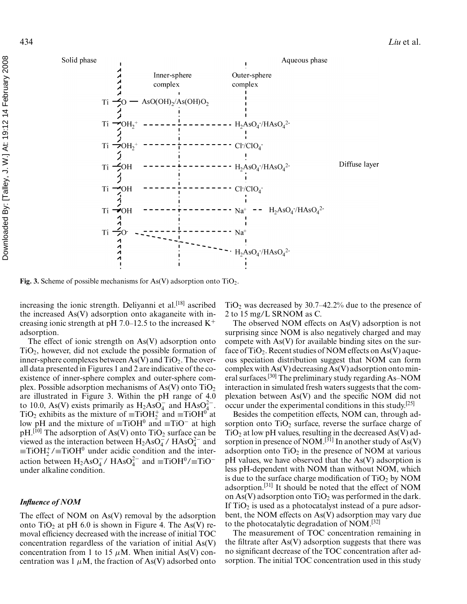

**Fig. 3.** Scheme of possible mechanisms for As(V) adsorption onto  $TiO<sub>2</sub>$ .

increasing the ionic strength. Deliyanni et al. $^{[18]}$  ascribed the increased As(V) adsorption onto akaganeite with increasing ionic strength at pH 7.0–12.5 to the increased  $K^+$ adsorption.

The effect of ionic strength on As(V) adsorption onto  $TiO<sub>2</sub>$ , however, did not exclude the possible formation of inner-sphere complexes between  $As(V)$  and  $TiO<sub>2</sub>$ . The overall data presented in Figures 1 and 2 are indicative of the coexistence of inner-sphere complex and outer-sphere complex. Possible adsorption mechanisms of As(V) onto  $TiO<sub>2</sub>$ are illustrated in Figure 3. Within the pH range of 4.0 to 10.0, As(V) exists primarily as  $H_2AsO_4^-$  and  $HAsO_4^{2-}$ .  $TiO<sub>2</sub>$  exhibits as the mixture of  $\equiv$ TiOH<sup>+</sup> and  $\equiv$ TiOH<sup>0</sup> at low pH and the mixture of  $\equiv$ TiOH<sup>0</sup> and  $\equiv$ TiO<sup>−</sup> at high pH.<sup>[10]</sup> The adsorption of As(V) onto TiO<sub>2</sub> surface can be viewed as the interaction between  $H_2AsO_4^-$  /  $HAsO_4^{2-}$  and  $\equiv$ TiOH<sup>+</sup>/ $\equiv$ TiOH<sup>0</sup> under acidic condition and the interaction between  $H_2AsO_4^-$  /  $HAsO_4^{2-}$  and  $\equiv$ TiOH<sup>0</sup>/ $\equiv$ TiO<sup>-</sup> under alkaline condition.

## *Influence of NOM*

The effect of NOM on As(V) removal by the adsorption onto TiO<sub>2</sub> at pH 6.0 is shown in Figure 4. The As(V) removal efficiency decreased with the increase of initial TOC concentration regardless of the variation of initial As(V) concentration from 1 to 15  $\mu$ M. When initial As(V) concentration was 1  $\mu$ M, the fraction of As(V) adsorbed onto

 $TiO<sub>2</sub>$  was decreased by 30.7–42.2% due to the presence of 2 to 15 mg/L SRNOM as C.

The observed NOM effects on As(V) adsorption is not surprising since NOM is also negatively charged and may compete with As(V) for available binding sites on the surface of  $TiO<sub>2</sub>$ . Recent studies of NOM effects on As(V) aqueous speciation distribution suggest that NOM can form complex with As(V) decreasing As(V) adsorption onto mineral surfaces.[30] The preliminary study regarding As–NOM interaction in simulated fresh waters suggests that the complexation between As(V) and the specific NOM did not occur under the experimental conditions in this study.<sup>[25]</sup>

Besides the competition effects, NOM can, through adsorption onto  $TiO<sub>2</sub>$  surface, reverse the surface charge of  $TiO<sub>2</sub>$  at low pH values, resulting in the decreased As(V) adsorption in presence of NOM.<sup>[31]</sup> In another study of As(V) adsorption onto  $TiO<sub>2</sub>$  in the presence of NOM at various pH values, we have observed that the As(V) adsorption is less pH-dependent with NOM than without NOM, which is due to the surface charge modification of  $TiO<sub>2</sub>$  by NOM adsorption.[31] It should be noted that the effect of NOM on As(V) adsorption onto  $TiO<sub>2</sub>$  was performed in the dark. If  $TiO<sub>2</sub>$  is used as a photocatalyst instead of a pure adsorbent, the NOM effects on As(V) adsorption may vary due to the photocatalytic degradation of NOM.<sup>[32]</sup>

The measurement of TOC concentration remaining in the filtrate after As(V) adsorption suggests that there was no significant decrease of the TOC concentration after adsorption. The initial TOC concentration used in this study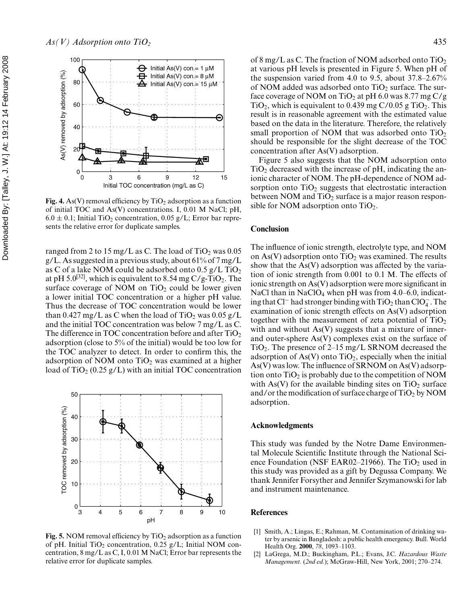

Fig. 4. As(V) removal efficiency by  $TiO<sub>2</sub>$  adsorption as a function of initial TOC and As(V) concentrations. I, 0.01 M NaCl; pH,  $6.0 \pm 0.1$ ; Initial TiO<sub>2</sub> concentration, 0.05 g/L; Error bar represents the relative error for duplicate samples.

ranged from 2 to 15 mg/L as C. The load of  $TiO<sub>2</sub>$  was 0.05 g/L. As suggested in a previous study, about 61% of 7 mg/L as C of a lake NOM could be adsorbed onto  $0.5$  g/L TiO<sub>2</sub> at pH 5.0<sup>[32]</sup>, which is equivalent to 8.54 mg  $C/g$ -TiO<sub>2</sub>. The surface coverage of NOM on  $TiO<sub>2</sub>$  could be lower given a lower initial TOC concentration or a higher pH value. Thus the decrease of TOC concentration would be lower than 0.427 mg/L as C when the load of TiO<sub>2</sub> was  $0.05$  g/L and the initial TOC concentration was below 7 mg/L as C. The difference in TOC concentration before and after  $TiO<sub>2</sub>$ adsorption (close to 5% of the initial) would be too low for the TOC analyzer to detect. In order to confirm this, the adsorption of NOM onto  $TiO<sub>2</sub>$  was examined at a higher load of  $TiO<sub>2</sub>$  (0.25 g/L) with an initial TOC concentration



Fig. 5. NOM removal efficiency by TiO<sub>2</sub> adsorption as a function of pH. Initial TiO<sub>2</sub> concentration, 0.25 g/L; Initial NOM concentration, 8 mg/L as C, I, 0.01 M NaCl; Error bar represents the relative error for duplicate samples.

of 8 mg/L as C. The fraction of NOM adsorbed onto  $TiO<sub>2</sub>$ at various pH levels is presented in Figure 5. When pH of the suspension varied from 4.0 to 9.5, about 37.8–2.67% of NOM added was adsorbed onto  $TiO<sub>2</sub>$  surface. The surface coverage of NOM on TiO<sub>2</sub> at pH 6.0 was 8.77 mg C/g TiO<sub>2</sub>, which is equivalent to 0.439 mg C/0.05 g TiO<sub>2</sub>. This result is in reasonable agreement with the estimated value based on the data in the literature. Therefore, the relatively small proportion of NOM that was adsorbed onto  $TiO<sub>2</sub>$ should be responsible for the slight decrease of the TOC concentration after As(V) adsorption.

Figure 5 also suggests that the NOM adsorption onto  $TiO<sub>2</sub>$  decreased with the increase of pH, indicating the anionic character of NOM. The pH-dependence of NOM adsorption onto  $TiO<sub>2</sub>$  suggests that electrostatic interaction between NOM and  $TiO<sub>2</sub>$  surface is a major reason responsible for NOM adsorption onto  $TiO<sub>2</sub>$ .

### **Conclusion**

The influence of ionic strength, electrolyte type, and NOM on As(V) adsorption onto  $TiO<sub>2</sub>$  was examined. The results show that the As(V) adsorption was affected by the variation of ionic strength from 0.001 to 0.1 M. The effects of ionic strength on As(V) adsorption were more significant in NaCl than in NaClO<sub>4</sub> when pH was from  $4.0-6.0$ , indicating that Cl<sup>−</sup> had stronger binding with TiO<sub>2</sub> than ClO<sub>4</sub>. The examination of ionic strength effects on As(V) adsorption together with the measurement of zeta potential of  $TiO<sub>2</sub>$ with and without  $As(V)$  suggests that a mixture of innerand outer-sphere As(V) complexes exist on the surface of TiO<sub>2</sub>. The presence of  $2-15$  mg/L SRNOM decreased the adsorption of  $As(V)$  onto  $TiO<sub>2</sub>$ , especially when the initial As(V) was low. The influence of SRNOM on As(V) adsorption onto  $TiO<sub>2</sub>$  is probably due to the competition of NOM with As(V) for the available binding sites on  $TiO<sub>2</sub>$  surface and/or the modification of surface charge of  $TiO<sub>2</sub>$  by NOM adsorption.

### **Acknowledgments**

This study was funded by the Notre Dame Environmental Molecule Scientific Institute through the National Science Foundation (NSF EAR02–21966). The  $TiO<sub>2</sub>$  used in this study was provided as a gift by Degussa Company. We thank Jennifer Forsyther and Jennifer Szymanowski for lab and instrument maintenance.

### **References**

- [1] Smith, A.; Lingas, E.; Rahman, M. Contamination of drinking water by arsenic in Bangladesh: a public health emergency. Bull. World Health Org. **2000**, *78*, 1093–1103.
- [2] LaGrega, M.D.; Buckingham, P.L.; Evans, J.C. *Hazardous Waste Management.* (*2nd ed.*); McGraw-Hill, New York, 2001; 270–274.